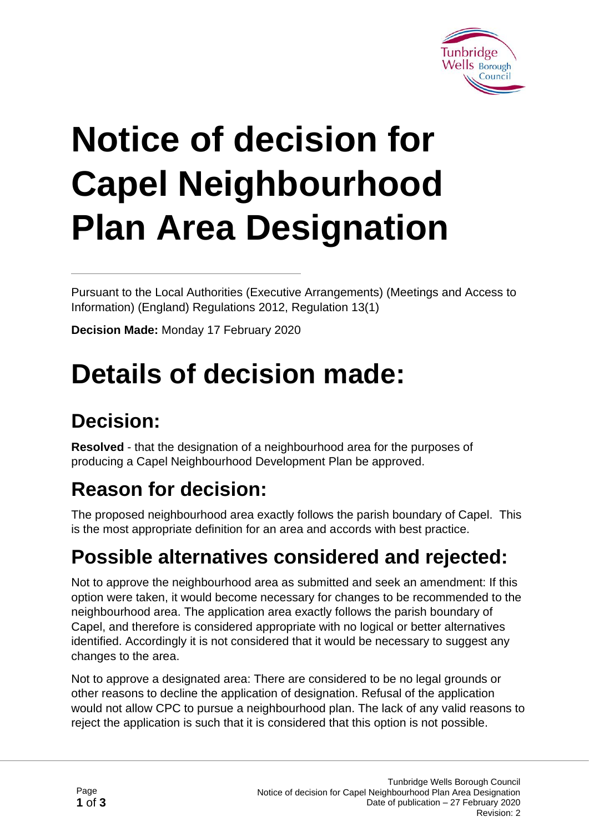

# **Notice of decision for Capel Neighbourhood Plan Area Designation**

Pursuant to the Local Authorities (Executive Arrangements) (Meetings and Access to Information) (England) Regulations 2012, Regulation 13(1)

**Decision Made:** Monday 17 February 2020

## **Details of decision made:**

#### **Decision:**

**Resolved** - that the designation of a neighbourhood area for the purposes of producing a Capel Neighbourhood Development Plan be approved.

### **Reason for decision:**

The proposed neighbourhood area exactly follows the parish boundary of Capel. This is the most appropriate definition for an area and accords with best practice.

#### **Possible alternatives considered and rejected:**

Not to approve the neighbourhood area as submitted and seek an amendment: If this option were taken, it would become necessary for changes to be recommended to the neighbourhood area. The application area exactly follows the parish boundary of Capel, and therefore is considered appropriate with no logical or better alternatives identified. Accordingly it is not considered that it would be necessary to suggest any changes to the area.

Not to approve a designated area: There are considered to be no legal grounds or other reasons to decline the application of designation. Refusal of the application would not allow CPC to pursue a neighbourhood plan. The lack of any valid reasons to reject the application is such that it is considered that this option is not possible.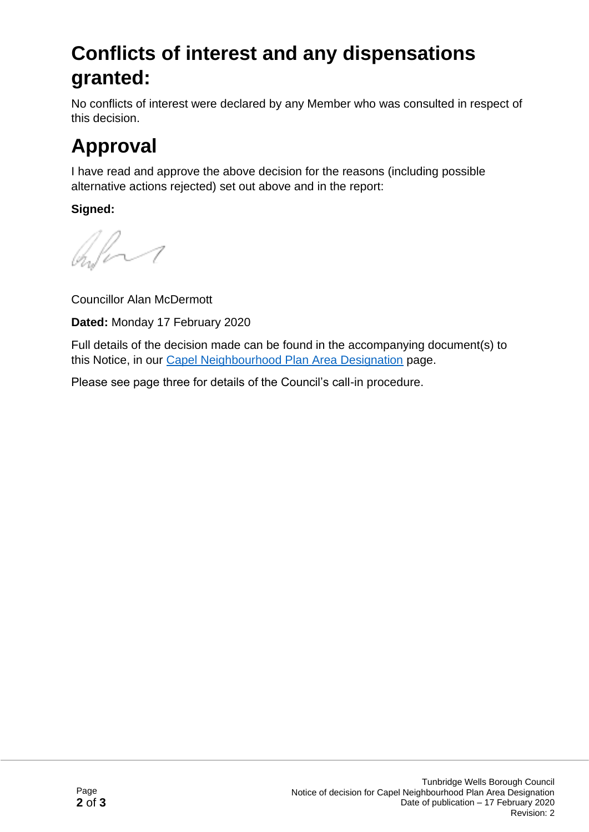#### **Conflicts of interest and any dispensations granted:**

No conflicts of interest were declared by any Member who was consulted in respect of this decision.

### **Approval**

I have read and approve the above decision for the reasons (including possible alternative actions rejected) set out above and in the report:

**Signed:**

bland

Councillor Alan McDermott

**Dated:** Monday 17 February 2020

Full details of the decision made can be found in the accompanying document(s) to this Notice, in our [Capel Neighbourhood Plan Area Designation](https://democracy.tunbridgewells.gov.uk/meetings/mgIssueHistoryHome.aspx?IId=50023061%20&Opt=0) page.

Please see page three for details of the Council's call-in procedure.